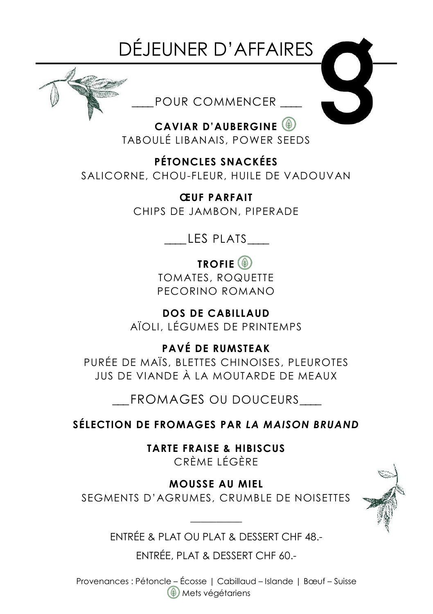## DÉJEUNER D'AFFAIRES



*\_\_\_\_*POUR COMMENCER *\_\_\_\_*

**CAVIAR D'AUBERGINE** TABOULÉ LIBANAIS, POWER SEEDS

**PÉTONCLES SNACKÉES**

SALICORNE, CHOU-FLEUR, HUILE DE VADOUVAN

**ŒUF PARFAIT** CHIPS DE JAMBON, PIPERADE

*\_\_\_\_*LES PLATS*\_\_\_\_*

**TROFIE** TOMATES, ROQUETTE

PECORINO ROMANO

**DOS DE CABILLAUD**  AÏOLI, LÉGUMES DE PRINTEMPS

**PAVÉ DE RUMSTEAK** PURÉE DE MAÏS, BLETTES CHINOISES, PLEUROTES JUS DE VIANDE À LA MOUTARDE DE MEAUX

\_\_\_ FROMAGES OU DOUCEURS\_\_\_\_

**SÉLECTION DE FROMAGES PAR** *LA MAISON BRUAND*

**TARTE FRAISE & HIBISCUS** CRÈME LÉGÈRE

**MOUSSE AU MIEL** SEGMENTS D'AGRUMES, CRUMBLE DE NOISETTES



**\_\_\_\_\_\_\_\_\_\_** ENTRÉE & PLAT OU PLAT & DESSERT CHF 48.-

ENTRÉE, PLAT & DESSERT CHF 60.-

Provenances : Pétoncle – Écosse | Cabillaud – Islande | Bœuf – Suisse Mets végétariens